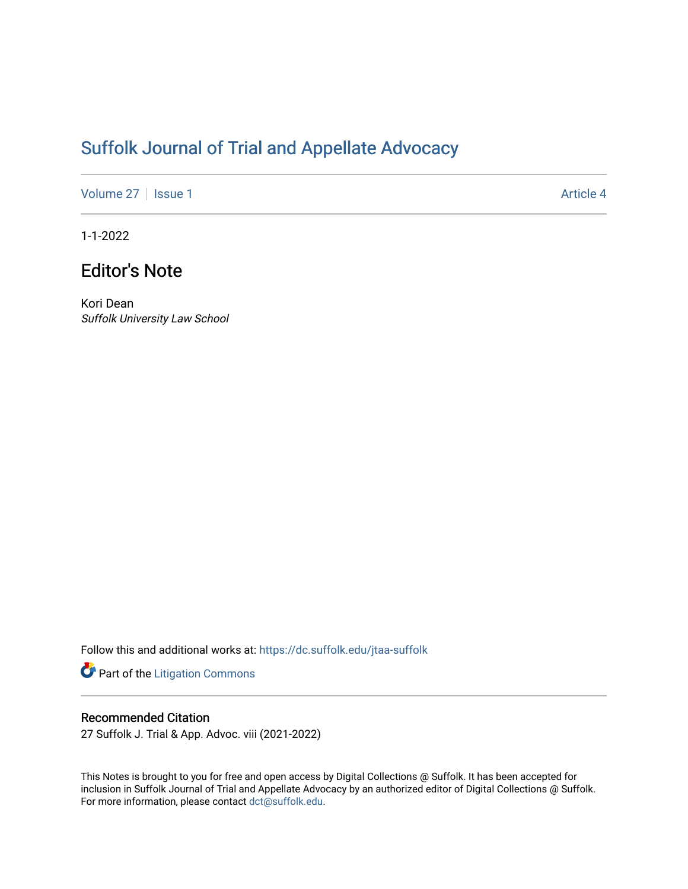# [Suffolk Journal of Trial and Appellate Advocacy](https://dc.suffolk.edu/jtaa-suffolk)

[Volume 27](https://dc.suffolk.edu/jtaa-suffolk/vol27) | [Issue 1](https://dc.suffolk.edu/jtaa-suffolk/vol27/iss1) Article 4

1-1-2022

## Editor's Note

Kori Dean Suffolk University Law School

Follow this and additional works at: [https://dc.suffolk.edu/jtaa-suffolk](https://dc.suffolk.edu/jtaa-suffolk?utm_source=dc.suffolk.edu%2Fjtaa-suffolk%2Fvol27%2Fiss1%2F4&utm_medium=PDF&utm_campaign=PDFCoverPages) 

Part of the [Litigation Commons](https://network.bepress.com/hgg/discipline/910?utm_source=dc.suffolk.edu%2Fjtaa-suffolk%2Fvol27%2Fiss1%2F4&utm_medium=PDF&utm_campaign=PDFCoverPages)

#### Recommended Citation

27 Suffolk J. Trial & App. Advoc. viii (2021-2022)

This Notes is brought to you for free and open access by Digital Collections @ Suffolk. It has been accepted for inclusion in Suffolk Journal of Trial and Appellate Advocacy by an authorized editor of Digital Collections @ Suffolk. For more information, please contact [dct@suffolk.edu](mailto:dct@suffolk.edu).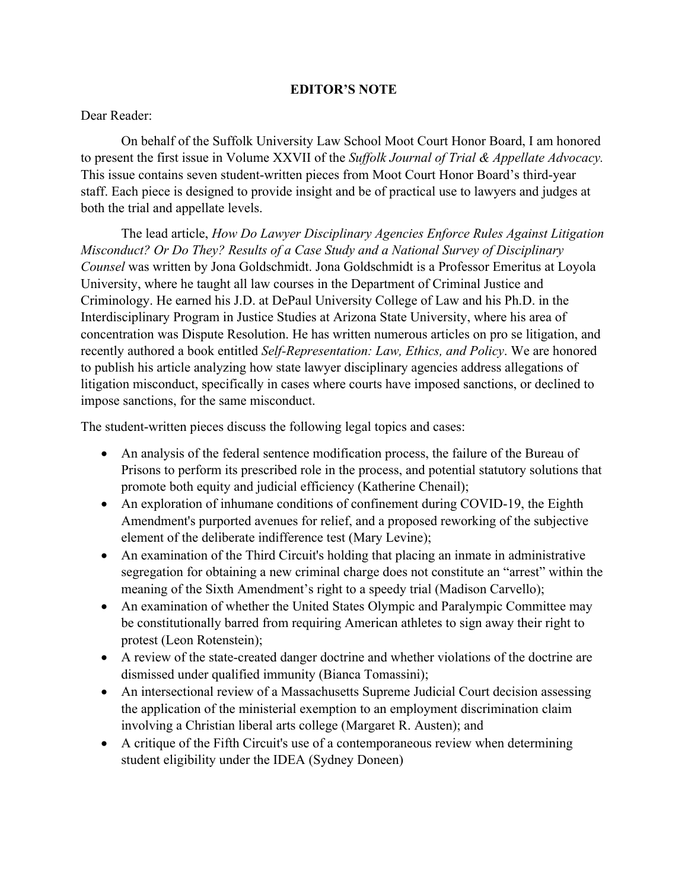### **EDITOR'S NOTE**

#### Dear Reader:

On behalf of the Suffolk University Law School Moot Court Honor Board, I am honored to present the first issue in Volume XXVII of the *Suffolk Journal of Trial & Appellate Advocacy.*  This issue contains seven student-written pieces from Moot Court Honor Board's third-year staff. Each piece is designed to provide insight and be of practical use to lawyers and judges at both the trial and appellate levels.

The lead article, *How Do Lawyer Disciplinary Agencies Enforce Rules Against Litigation Misconduct? Or Do They? Results of a Case Study and a National Survey of Disciplinary Counsel* was written by Jona Goldschmidt. Jona Goldschmidt is a Professor Emeritus at Loyola University, where he taught all law courses in the Department of Criminal Justice and Criminology. He earned his J.D. at DePaul University College of Law and his Ph.D. in the Interdisciplinary Program in Justice Studies at Arizona State University, where his area of concentration was Dispute Resolution. He has written numerous articles on pro se litigation, and recently authored a book entitled *Self-Representation: Law, Ethics, and Policy*. We are honored to publish his article analyzing how state lawyer disciplinary agencies address allegations of litigation misconduct, specifically in cases where courts have imposed sanctions, or declined to impose sanctions, for the same misconduct.

The student-written pieces discuss the following legal topics and cases:

- An analysis of the federal sentence modification process, the failure of the Bureau of Prisons to perform its prescribed role in the process, and potential statutory solutions that promote both equity and judicial efficiency (Katherine Chenail);
- An exploration of inhumane conditions of confinement during COVID-19, the Eighth Amendment's purported avenues for relief, and a proposed reworking of the subjective element of the deliberate indifference test (Mary Levine);
- An examination of the Third Circuit's holding that placing an inmate in administrative segregation for obtaining a new criminal charge does not constitute an "arrest" within the meaning of the Sixth Amendment's right to a speedy trial (Madison Carvello);
- An examination of whether the United States Olympic and Paralympic Committee may be constitutionally barred from requiring American athletes to sign away their right to protest (Leon Rotenstein);
- A review of the state-created danger doctrine and whether violations of the doctrine are dismissed under qualified immunity (Bianca Tomassini);
- An intersectional review of a Massachusetts Supreme Judicial Court decision assessing the application of the ministerial exemption to an employment discrimination claim involving a Christian liberal arts college (Margaret R. Austen); and
- A critique of the Fifth Circuit's use of a contemporaneous review when determining student eligibility under the IDEA (Sydney Doneen)